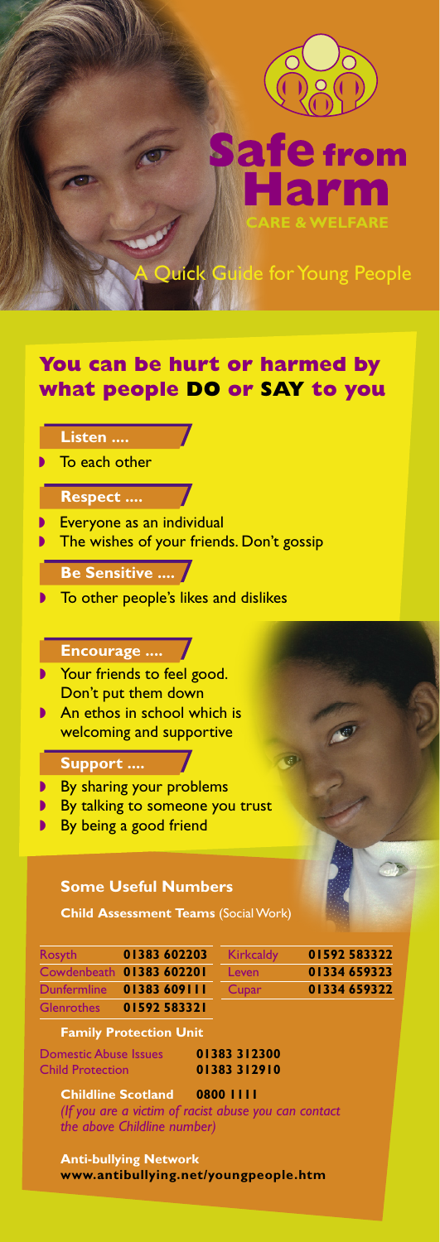

from

**CARE & WELFARE**

**Ick Guide for Young People** 

# **You can be hurt or harmed by what people DO or SAY to you**

|  | Listen |  |
|--|--------|--|
|  |        |  |

■ To each other

# **Respect ....**

- **B** Everyone as an individual
- **The wishes of your friends. Don't gossip**

## **Be Sensitive ....**

■ To other people's likes and dislikes

# **Encourage ....**

- ◗ Your friends to feel good. Don't put them down
- An ethos in school which is welcoming and supportive

#### **Support ....**

- By sharing your problems
- By talking to someone you trust
- By being a good friend

## **Some Useful Numbers**

**Child Assessment Teams** (Social Work)

| Rosyth            | 01383 602203             | Kirkcaldy | 01592583322  |
|-------------------|--------------------------|-----------|--------------|
|                   | Cowdenbeath 01383 602201 | Leven     | 01334 659323 |
|                   | Dunfermline 01383 609111 | Cupar     | 01334 659322 |
| <b>Glenrothes</b> | 01592583321              |           |              |

| <b>Kirkcaldy</b> | 01592583322  |
|------------------|--------------|
| Leven            | 01334 659323 |
| Cupar            | 01334 659322 |

#### **Family Protection Unit**

Domestic Abuse Issues **01383 312300** Child Protection **01383 312910**

**Childline Scotland 0800 1111** *(If you are a victim of racist abuse you can contact the above Childline number)*

**Anti-bullying Network www.antibullying.net/youngpeople.htm**